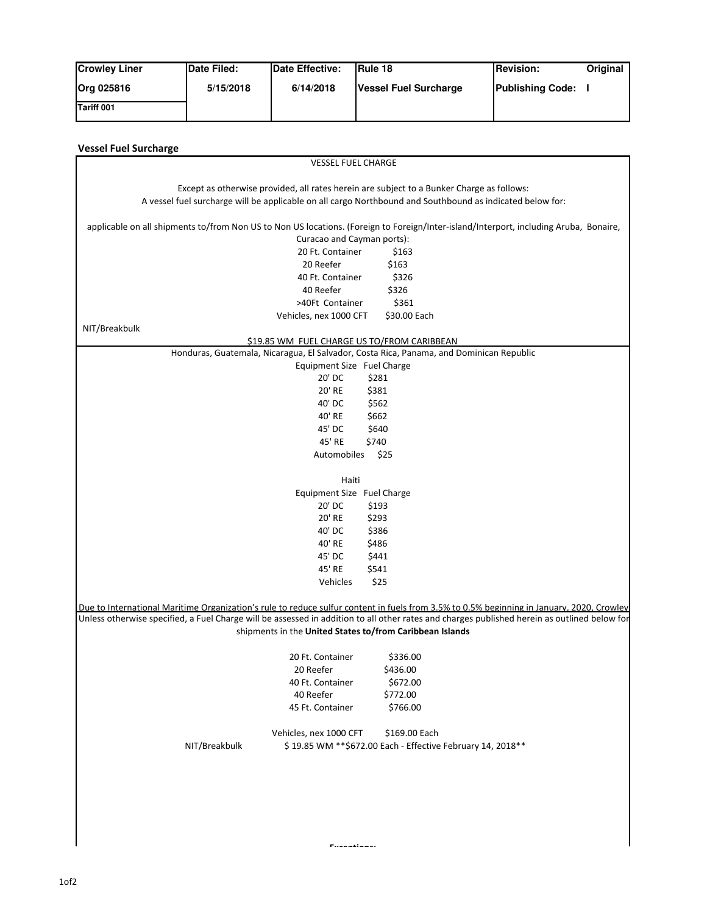| <b>Crowley Liner</b> | Date Filed: | Date Effective: | <b>IRule 18</b>       | <b>IRevision:</b>       | Original |
|----------------------|-------------|-----------------|-----------------------|-------------------------|----------|
| <b>Org 025816</b>    | 5/15/2018   | 6/14/2018       | Vessel Fuel Surcharge | <b>Publishing Code:</b> |          |
| <b>Tariff 001</b>    |             |                 |                       |                         |          |

|                                                                                                                                                                                                                                                                                           | <b>VESSEL FUEL CHARGE</b>  |                                                                                           |  |
|-------------------------------------------------------------------------------------------------------------------------------------------------------------------------------------------------------------------------------------------------------------------------------------------|----------------------------|-------------------------------------------------------------------------------------------|--|
|                                                                                                                                                                                                                                                                                           |                            | Except as otherwise provided, all rates herein are subject to a Bunker Charge as follows: |  |
| A vessel fuel surcharge will be applicable on all cargo Northbound and Southbound as indicated below for:                                                                                                                                                                                 |                            |                                                                                           |  |
|                                                                                                                                                                                                                                                                                           |                            |                                                                                           |  |
| applicable on all shipments to/from Non US to Non US locations. (Foreign to Foreign/Inter-island/Interport, including Aruba, Bonaire,                                                                                                                                                     |                            |                                                                                           |  |
|                                                                                                                                                                                                                                                                                           | Curacao and Cayman ports): |                                                                                           |  |
|                                                                                                                                                                                                                                                                                           | 20 Ft. Container           | \$163                                                                                     |  |
|                                                                                                                                                                                                                                                                                           | 20 Reefer                  | \$163                                                                                     |  |
|                                                                                                                                                                                                                                                                                           | 40 Ft. Container           | \$326                                                                                     |  |
|                                                                                                                                                                                                                                                                                           | 40 Reefer                  | \$326                                                                                     |  |
|                                                                                                                                                                                                                                                                                           | >40Ft Container            | \$361                                                                                     |  |
|                                                                                                                                                                                                                                                                                           | Vehicles, nex 1000 CFT     | \$30.00 Each                                                                              |  |
| NIT/Breakbulk                                                                                                                                                                                                                                                                             |                            |                                                                                           |  |
|                                                                                                                                                                                                                                                                                           |                            | \$19.85 WM FUEL CHARGE US TO/FROM CARIBBEAN                                               |  |
|                                                                                                                                                                                                                                                                                           |                            | Honduras, Guatemala, Nicaragua, El Salvador, Costa Rica, Panama, and Dominican Republic   |  |
|                                                                                                                                                                                                                                                                                           | Equipment Size Fuel Charge |                                                                                           |  |
|                                                                                                                                                                                                                                                                                           | 20' DC                     | \$281                                                                                     |  |
|                                                                                                                                                                                                                                                                                           | 20' RE<br>40' DC           | \$381                                                                                     |  |
|                                                                                                                                                                                                                                                                                           | 40' RE                     | \$562<br>\$662                                                                            |  |
|                                                                                                                                                                                                                                                                                           | 45' DC                     | \$640                                                                                     |  |
|                                                                                                                                                                                                                                                                                           | 45' RE                     | \$740                                                                                     |  |
|                                                                                                                                                                                                                                                                                           | Automobiles                | \$25                                                                                      |  |
|                                                                                                                                                                                                                                                                                           |                            |                                                                                           |  |
|                                                                                                                                                                                                                                                                                           | Haiti                      |                                                                                           |  |
|                                                                                                                                                                                                                                                                                           | Equipment Size Fuel Charge |                                                                                           |  |
|                                                                                                                                                                                                                                                                                           | 20' DC                     | \$193                                                                                     |  |
|                                                                                                                                                                                                                                                                                           | 20' RE                     | \$293                                                                                     |  |
|                                                                                                                                                                                                                                                                                           | 40' DC                     | \$386                                                                                     |  |
|                                                                                                                                                                                                                                                                                           | 40' RE                     | \$486                                                                                     |  |
|                                                                                                                                                                                                                                                                                           | 45' DC                     | \$441                                                                                     |  |
|                                                                                                                                                                                                                                                                                           | 45' RE                     | \$541                                                                                     |  |
|                                                                                                                                                                                                                                                                                           | Vehicles                   | \$25                                                                                      |  |
| Due to International Maritime Organization's rule to reduce sulfur content in fuels from 3.5% to 0.5% beginning in January, 2020, Crowley<br>Unless otherwise specified, a Fuel Charge will be assessed in addition to all other rates and charges published herein as outlined below for |                            | shipments in the United States to/from Caribbean Islands                                  |  |
|                                                                                                                                                                                                                                                                                           | 20 Ft. Container           | \$336.00                                                                                  |  |
|                                                                                                                                                                                                                                                                                           | 20 Reefer                  | \$436.00                                                                                  |  |
|                                                                                                                                                                                                                                                                                           | 40 Ft. Container           | \$672.00                                                                                  |  |
|                                                                                                                                                                                                                                                                                           | 40 Reefer                  | \$772.00                                                                                  |  |
|                                                                                                                                                                                                                                                                                           | 45 Ft. Container           | \$766.00                                                                                  |  |
|                                                                                                                                                                                                                                                                                           |                            |                                                                                           |  |
|                                                                                                                                                                                                                                                                                           | Vehicles, nex 1000 CFT     | \$169.00 Each                                                                             |  |
| NIT/Breakbulk                                                                                                                                                                                                                                                                             |                            | \$19.85 WM ** \$672.00 Each - Effective February 14, 2018 **                              |  |
|                                                                                                                                                                                                                                                                                           |                            |                                                                                           |  |
|                                                                                                                                                                                                                                                                                           |                            |                                                                                           |  |
|                                                                                                                                                                                                                                                                                           |                            |                                                                                           |  |
|                                                                                                                                                                                                                                                                                           |                            |                                                                                           |  |
|                                                                                                                                                                                                                                                                                           |                            |                                                                                           |  |
|                                                                                                                                                                                                                                                                                           |                            |                                                                                           |  |
|                                                                                                                                                                                                                                                                                           |                            |                                                                                           |  |